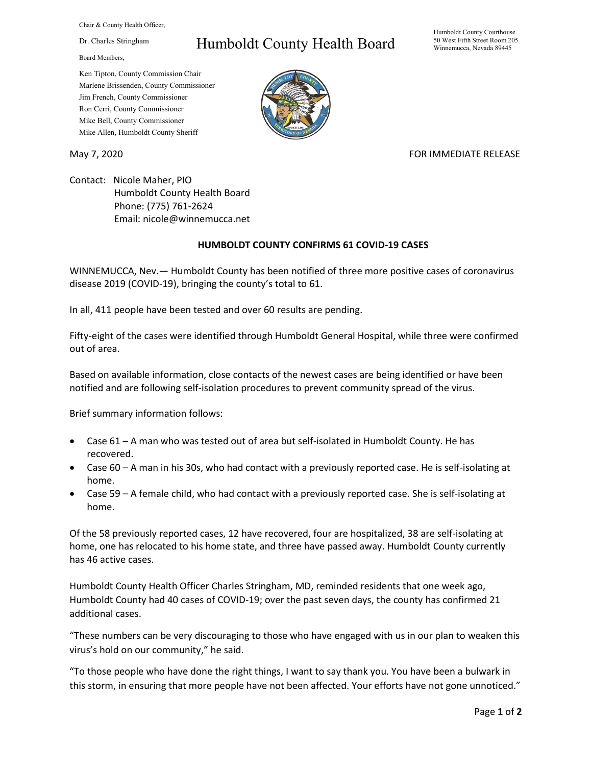Chair & County Health Officer,

Dr. Charles Stringham

Board Members,

## Humboldt County Health Board

Humboldt County Courthouse 50 West Fifth Street Room 205 Winnemucca, Nevada 89445

Ken Tipton, County Commission Chair Marlene Brissenden, County Commissioner Jim French, County Commissioner Ron Cerri, County Commissioner Mike Bell, County Commissioner Mike Allen, Humboldt County Sheriff

## May 7, 2020 FOR IMMEDIATE RELEASE

Contact: Nicole Maher, PIO Humboldt County Health Board Phone: (775) 761-2624 Email: nicole@winnemucca.net

## **HUMBOLDT COUNTY CONFIRMS 61 COVID-19 CASES**

WINNEMUCCA, Nev.— Humboldt County has been notified of three more positive cases of coronavirus disease 2019 (COVID-19), bringing the county's total to 61.

In all, 411 people have been tested and over 60 results are pending.

Fifty-eight of the cases were identified through Humboldt General Hospital, while three were confirmed out of area.

Based on available information, close contacts of the newest cases are being identified or have been notified and are following self-isolation procedures to prevent community spread of the virus.

Brief summary information follows:

- Case 61 A man who was tested out of area but self-isolated in Humboldt County. He has recovered.
- Case 60 A man in his 30s, who had contact with a previously reported case. He is self-isolating at home.
- Case 59 A female child, who had contact with a previously reported case. She is self-isolating at home.

Of the 58 previously reported cases, 12 have recovered, four are hospitalized, 38 are self-isolating at home, one has relocated to his home state, and three have passed away. Humboldt County currently has 46 active cases.

Humboldt County Health Officer Charles Stringham, MD, reminded residents that one week ago, Humboldt County had 40 cases of COVID-19; over the past seven days, the county has confirmed 21 additional cases.

"These numbers can be very discouraging to those who have engaged with us in our plan to weaken this virus's hold on our community," he said.

"To those people who have done the right things, I want to say thank you. You have been a bulwark in this storm, in ensuring that more people have not been affected. Your efforts have not gone unnoticed."